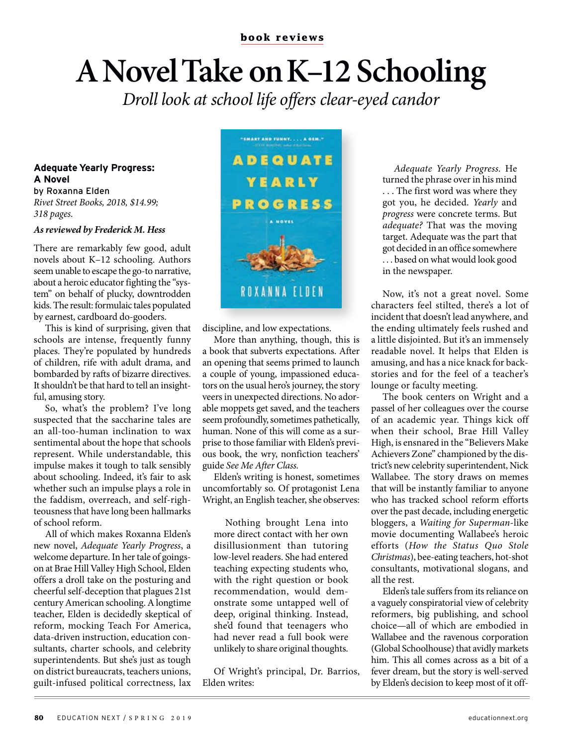## **A Novel Take on K–12 Schooling**

*Droll look at school life offers clear-eyed candor*

## **Adequate Yearly Progress: A Novel**

by Roxanna Elden *Rivet Street Books, 2018, \$14.99; 318 pages.*

## *As reviewed by Frederick M. Hess*

There are remarkably few good, adult novels about K–12 schooling. Authors seem unable to escape the go-to narrative, about a heroic educator fighting the "system" on behalf of plucky, downtrodden kids. The result: formulaic tales populated by earnest, cardboard do-gooders.

This is kind of surprising, given that schools are intense, frequently funny places. They're populated by hundreds of children, rife with adult drama, and bombarded by rafts of bizarre directives. It shouldn't be that hard to tell an insightful, amusing story.

So, what's the problem? I've long suspected that the saccharine tales are an all-too-human inclination to wax sentimental about the hope that schools represent. While understandable, this impulse makes it tough to talk sensibly about schooling. Indeed, it's fair to ask whether such an impulse plays a role in the faddism, overreach, and self-righteousness that have long been hallmarks of school reform.

All of which makes Roxanna Elden's new novel, *Adequate Yearly Progress*, a welcome departure. In her tale of goingson at Brae Hill Valley High School, Elden offers a droll take on the posturing and cheerful self-deception that plagues 21st century American schooling. A longtime teacher, Elden is decidedly skeptical of reform, mocking Teach For America, data-driven instruction, education consultants, charter schools, and celebrity superintendents. But she's just as tough on district bureaucrats, teachers unions, guilt-infused political correctness, lax



discipline, and low expectations.

More than anything, though, this is a book that subverts expectations. After an opening that seems primed to launch a couple of young, impassioned educators on the usual hero's journey, the story veers in unexpected directions. No adorable moppets get saved, and the teachers seem profoundly, sometimes pathetically, human. None of this will come as a surprise to those familiar with Elden's previous book, the wry, nonfiction teachers' guide *See Me After Class.*

Elden's writing is honest, sometimes uncomfortably so. Of protagonist Lena Wright, an English teacher, she observes:

Nothing brought Lena into more direct contact with her own disillusionment than tutoring low-level readers. She had entered teaching expecting students who, with the right question or book recommendation, would demonstrate some untapped well of deep, original thinking. Instead, she'd found that teenagers who had never read a full book were unlikely to share original thoughts.

Of Wright's principal, Dr. Barrios, Elden writes:

*Adequate Yearly Progress.* He turned the phrase over in his mind . . . The first word was where they got you, he decided. *Yearly* and *progress* were concrete terms. But *adequate?* That was the moving target. Adequate was the part that got decided in an office somewhere . . . based on what would look good in the newspaper.

Now, it's not a great novel. Some characters feel stilted, there's a lot of incident that doesn't lead anywhere, and the ending ultimately feels rushed and a little disjointed. But it's an immensely readable novel. It helps that Elden is amusing, and has a nice knack for backstories and for the feel of a teacher's lounge or faculty meeting.

The book centers on Wright and a passel of her colleagues over the course of an academic year. Things kick off when their school, Brae Hill Valley High, is ensnared in the "Believers Make Achievers Zone" championed by the district's new celebrity superintendent, Nick Wallabee. The story draws on memes that will be instantly familiar to anyone who has tracked school reform efforts over the past decade, including energetic bloggers, a *Waiting for Superman*-like movie documenting Wallabee's heroic efforts (*How the Status Quo Stole Christmas*), bee-eating teachers, hot-shot consultants, motivational slogans, and all the rest.

Elden's tale suffers from its reliance on a vaguely conspiratorial view of celebrity reformers, big publishing, and school choice—all of which are embodied in Wallabee and the ravenous corporation (Global Schoolhouse) that avidly markets him. This all comes across as a bit of a fever dream, but the story is well-served by Elden's decision to keep most of it off